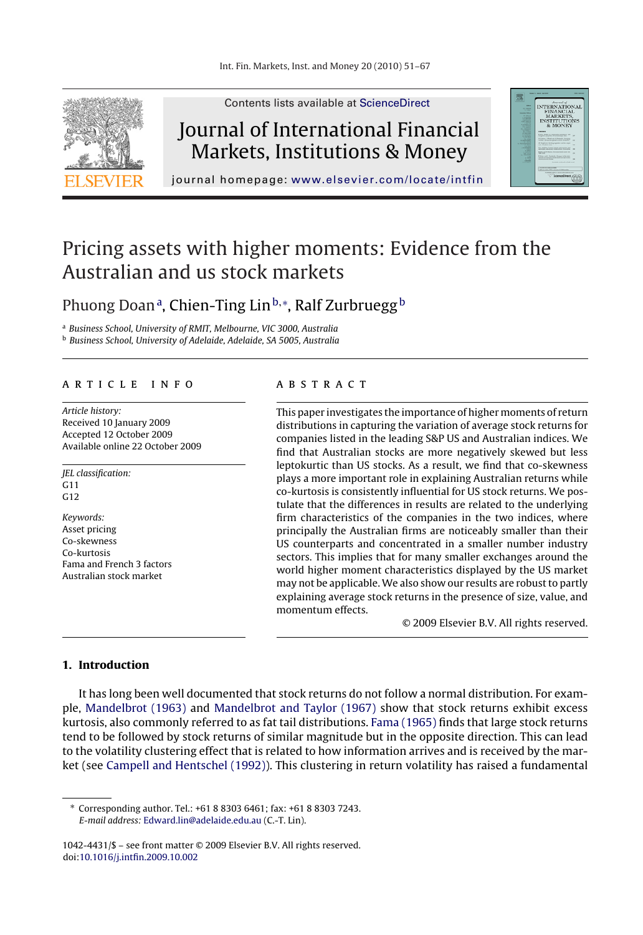

Contents lists available at [ScienceDirect](http://www.sciencedirect.com/science/journal/10424431)

# Journal of International Financial Markets, Institutions & Money



journal homepage: [www.elsevier.com/locate/intfin](http://www.elsevier.com/locate/intfin)

# Pricing assets with higher moments: Evidence from the Australian and us stock markets

### Phuong Doanª, Chien-Ting Lin<sup>b,</sup>\*, Ralf Zurbruegg<sup>b</sup>

<sup>a</sup> Business School, University of RMIT, Melbourne, VIC 3000, Australia

<sup>b</sup> Business School, University of Adelaide, Adelaide, SA 5005, Australia

#### article info

Article history: Received 10 January 2009 Accepted 12 October 2009 Available online 22 October 2009

JEL classification:  $G11$ G12 Keywords: Asset pricing Co-skewness

Co-kurtosis Fama and French 3 factors Australian stock market

#### **ABSTRACT**

This paper investigates the importance of higher moments of return distributions in capturing the variation of average stock returns for companies listed in the leading S&P US and Australian indices. We find that Australian stocks are more negatively skewed but less leptokurtic than US stocks. As a result, we find that co-skewness plays a more important role in explaining Australian returns while co-kurtosis is consistently influential for US stock returns. We postulate that the differences in results are related to the underlying firm characteristics of the companies in the two indices, where principally the Australian firms are noticeably smaller than their US counterparts and concentrated in a smaller number industry sectors. This implies that for many smaller exchanges around the world higher moment characteristics displayed by the US market may not be applicable. We also show our results are robust to partly explaining average stock returns in the presence of size, value, and momentum effects.

© 2009 Elsevier B.V. All rights reserved.

#### **1. Introduction**

It has long been well documented that stock returns do not follow a normal distribution. For example, [Mandelbrot \(1963\)](#page--1-0) and [Mandelbrot and Taylor \(1967\)](#page--1-0) show that stock returns exhibit excess kurtosis, also commonly referred to as fat tail distributions. [Fama \(1965\)](#page--1-0) finds that large stock returns tend to be followed by stock returns of similar magnitude but in the opposite direction. This can lead to the volatility clustering effect that is related to how information arrives and is received by the market (see [Campell and Hentschel \(1992\)\).](#page--1-0) This clustering in return volatility has raised a fundamental

∗ Corresponding author. Tel.: +61 8 8303 6461; fax: +61 8 8303 7243. E-mail address: [Edward.lin@adelaide.edu.au](mailto:Edward.lin@adelaide.edu.au) (C.-T. Lin).

<sup>1042-4431/\$ –</sup> see front matter © 2009 Elsevier B.V. All rights reserved. doi:[10.1016/j.intfin.2009.10.002](dx.doi.org/10.1016/j.intfin.2009.10.002)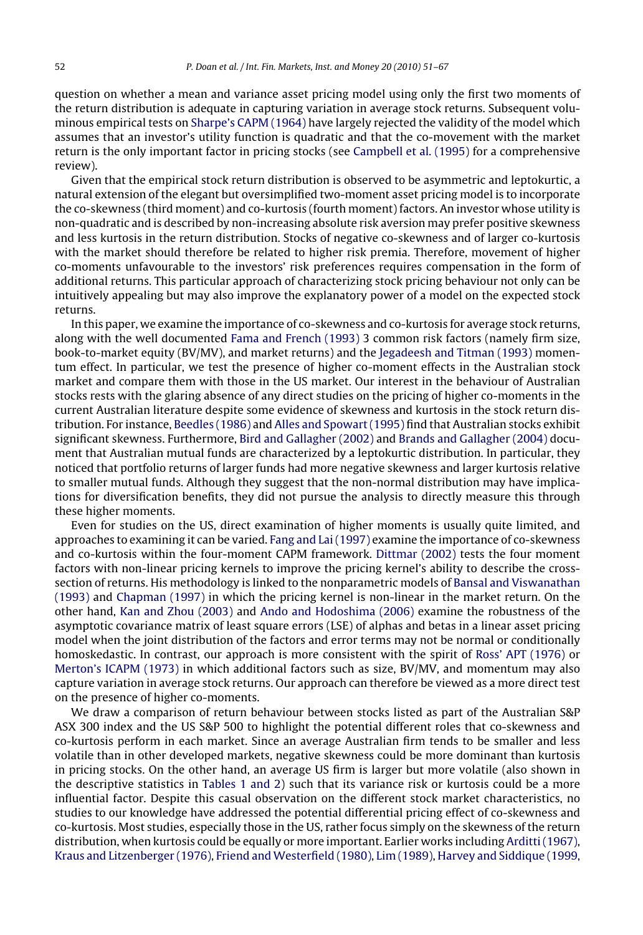question on whether a mean and variance asset pricing model using only the first two moments of the return distribution is adequate in capturing variation in average stock returns. Subsequent voluminous empirical tests on [Sharpe's CAPM \(1964\)](#page--1-0) have largely rejected the validity of the model which assumes that an investor's utility function is quadratic and that the co-movement with the market return is the only important factor in pricing stocks (see [Campbell et al. \(1995\)](#page--1-0) for a comprehensive review).

Given that the empirical stock return distribution is observed to be asymmetric and leptokurtic, a natural extension of the elegant but oversimplified two-moment asset pricing model is to incorporate the co-skewness (third moment) and co-kurtosis (fourth moment) factors. An investor whose utility is non-quadratic and is described by non-increasing absolute risk aversion may prefer positive skewness and less kurtosis in the return distribution. Stocks of negative co-skewness and of larger co-kurtosis with the market should therefore be related to higher risk premia. Therefore, movement of higher co-moments unfavourable to the investors' risk preferences requires compensation in the form of additional returns. This particular approach of characterizing stock pricing behaviour not only can be intuitively appealing but may also improve the explanatory power of a model on the expected stock returns.

In this paper, we examine the importance of co-skewness and co-kurtosis for average stock returns, along with the well documented [Fama and French \(1993\)](#page--1-0) 3 common risk factors (namely firm size, book-to-market equity (BV/MV), and market returns) and the [Jegadeesh and Titman \(1993\)](#page--1-0) momentum effect. In particular, we test the presence of higher co-moment effects in the Australian stock market and compare them with those in the US market. Our interest in the behaviour of Australian stocks rests with the glaring absence of any direct studies on the pricing of higher co-moments in the current Australian literature despite some evidence of skewness and kurtosis in the stock return distribution. For instance, [Beedles \(1986\)](#page--1-0) and [Alles and Spowart \(1995\)](#page--1-0) find that Australian stocks exhibit significant skewness. Furthermore, [Bird and Gallagher \(2002\)](#page--1-0) and [Brands and Gallagher \(2004\)](#page--1-0) document that Australian mutual funds are characterized by a leptokurtic distribution. In particular, they noticed that portfolio returns of larger funds had more negative skewness and larger kurtosis relative to smaller mutual funds. Although they suggest that the non-normal distribution may have implications for diversification benefits, they did not pursue the analysis to directly measure this through these higher moments.

Even for studies on the US, direct examination of higher moments is usually quite limited, and approaches to examining it can be varied. [Fang and Lai \(1997\)](#page--1-0) examine the importance of co-skewness and co-kurtosis within the four-moment CAPM framework. [Dittmar \(2002\)](#page--1-0) tests the four moment factors with non-linear pricing kernels to improve the pricing kernel's ability to describe the crosssection of returns. His methodology is linked to the nonparametric models of [Bansal and Viswanathan](#page--1-0) [\(1993\)](#page--1-0) and [Chapman \(1997\)](#page--1-0) in which the pricing kernel is non-linear in the market return. On the other hand, [Kan and Zhou \(2003\)](#page--1-0) and [Ando and Hodoshima \(2006\)](#page--1-0) examine the robustness of the asymptotic covariance matrix of least square errors (LSE) of alphas and betas in a linear asset pricing model when the joint distribution of the factors and error terms may not be normal or conditionally homoskedastic. In contrast, our approach is more consistent with the spirit of [Ross' APT \(1976\)](#page--1-0) or [Merton's ICAPM \(1973\)](#page--1-0) in which additional factors such as size, BV/MV, and momentum may also capture variation in average stock returns. Our approach can therefore be viewed as a more direct test on the presence of higher co-moments.

We draw a comparison of return behaviour between stocks listed as part of the Australian S&P ASX 300 index and the US S&P 500 to highlight the potential different roles that co-skewness and co-kurtosis perform in each market. Since an average Australian firm tends to be smaller and less volatile than in other developed markets, negative skewness could be more dominant than kurtosis in pricing stocks. On the other hand, an average US firm is larger but more volatile (also shown in the descriptive statistics in [Tables 1 and 2\)](#page--1-0) such that its variance risk or kurtosis could be a more influential factor. Despite this casual observation on the different stock market characteristics, no studies to our knowledge have addressed the potential differential pricing effect of co-skewness and co-kurtosis. Most studies, especially those in the US, rather focus simply on the skewness of the return distribution, when kurtosis could be equally or more important. Earlier works including [Arditti \(1967\),](#page--1-0) [Kraus and Litzenberger \(1976\),](#page--1-0) [Friend and Westerfield \(1980\),](#page--1-0) [Lim \(1989\),](#page--1-0) [Harvey and Siddique \(1999,](#page--1-0)